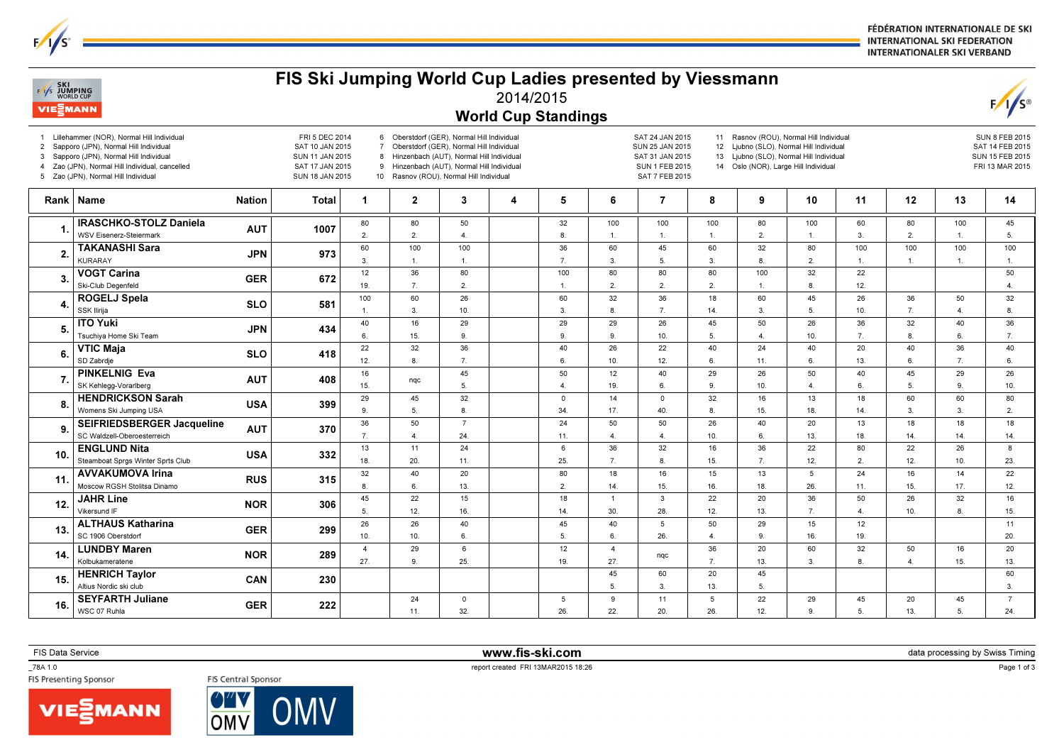FÉDÉRATION INTERNATIONALE DE SKI **INTERNATIONAL SKI FEDERATION INTERNATIONALER SKI VERBAND** 

## $F/1/s$ **VIE**<sup>2</sup>MANN World Cup Standings1 Lillehammer (NOR), Normal Hill Individual FRI 5 DEC 20146 Oberstdorf (GER), Normal Hill Individual SAT 24 JAN 201511 Rasnov (ROU), Normal Hill IndividualSUN 8 FEB 2015 2 Sapporo (JPN), Normal Hill Individual7 Oberstdorf (GER), Normal Hill Individual SUN 25 JAN 2015 12 Ljubno (SLO), Normal Hill Individual SAT 10 JAN 2015 SAT 14 FEB 20153 Sapporo (JPN), Normal Hill Individual8 Hinzenbach (AUT), Normal Hill Individual SAT 31 JAN 2015 13 Liubno (SLO), Normal Hill Individual SUN 11 JAN 2015 SUN 15 FEB 20154 Zao (JPN), Normal Hill Individual, cancelled SAT 17 JAN 2015 9 Hinzenbach (AUT), Normal Hill Individual14 Oslo (NOR), Large Hill Individual SUN 1 FEB 2015 FRI 13 MAR 20155 Zao (JPN), Normal Hill Individual10 Rasnov (ROU), Normal Hill Individual SUN 18 JAN 2015 SAT 7 FEB 2015Rank | Name Nation | Total | 1 | 2 | 3 | 4 | 5 | 6 | 7 | 8 | 9 | 10 | 11 | 12 | 13 | 14 IRASCHKO-STOLZ Daniela 8050803210010010080100608010045AUT 1007 1. 2. 2. 2. 5.WSV Eisenerz-Steiermark4.8.2.3.1.1.1.1.1.**TAKANASHI Sara** 10060100100366045603280100100100 $JPM$  973 2.KURARAY 3. 7. 3. 5. 3. 8. 2. 1.1.1.1.1.1.**VOGT Carina** 1236801008080801003222503. $\frac{a}{d}$  GER 672 Ski-Club Degenfeld 19. 7. 2.1. 2. 2. 2.1. 8. 12. 4. ROGELJ Spela 1006026603236186045263650324. $\begin{array}{c|c|c|c|c} \text{SLO} & \text{581} \end{array}$ SSK Ilirija 3. 10. 3. 8. 7. 14. 3. 5. 10. 7. 4. 8.1. ITO Yuki 40162929292645502636324036 $JPN$  434 5.Tsuchiya Home Ski Team 6. 15. 9. 9. 9. 10. 5. 4. 10. 7. 8. 6. 7.**VTIC Maja**<br>SD Zabrdie 223236402622402440204036406. SLO <sup>418</sup> 12.8.7.6.10.12.6.11.6.13.6.7.6. PINKELNIG Eva 1645501240292650404529267. $\begin{array}{c|c|c}\n & AUT & 408 \\
\hline\n\end{array}$  nqc SK Kehlegg-Vorarlberg 15. 5. 4. 19. 6. 9. 10. 4. 6. 5. 9. 10. HENDRICKSON Sarah Womens Ski Jumping USA2945320140321613186060808. $\overline{A}$  USA 399 9.5.8.34.17.40.8.15.18.14.3.3.2. SEIFRIEDSBERGER Jacqueline 50 $\overline{24}$ 5050264020183671318189.AUT 370 SC Waldzell-Oberoesterreich 7. 4. 24. 11. 4. 4. 10. 6. 13. 18. 14. 14. 14. $\frac{1}{22}$ **ENGLUND Nita**<br>Steamboat Sprgs Winter Sprts Club 1311 $\overline{24}$ 36 $\overline{32}$ 1636 $\overline{22}$ 80266810. $\begin{array}{ccc} \text{b} & \text{USA} & \text{332} \end{array}$ 18.20.11.25.7.8.15.7.12.2.12.10.23. AVVAKUMOVA Irina 401815162232208016135241411. $\overline{\phantom{0}}$  RUS 315 Moscow RGSH Stolitsa Dinamo 8. 6. 13. 2. 14. 15. 16. 18. 26. 11. 15. 17. 12. JAHR Line 452215181322 20365026321612.**NOR** 306 Vikersund IF 5. 12. 16. 14. 30. 28. 12. 13. 7. 4. 10. 8. 15.ALTHAUS Katharina 26454050291526405121113. $GER$  299 SC 1906 Oberstdorf 10. 10. 6. 5. 6. 26. 4. 9. 16. 19. 20. LUNDBY Maren 429612436206032501620 $NOR$  289 14.eral indiana dia kaominina dia kaominina dia amin'ny fivondronan-kaominin'i Amerika ao amin'ny fivondronan-kao<br>Jeografia Kolbukameratene 27. 9. 25. 19. 27. 7. 13. 3. 4. 15. 13.8.HENRICH Taylor 456020456015. $CAN$  230 Altius Nordic ski club 5. 3. 13. 5. 3.SEYFARTH Juliane 5222405911294520457GER  $222$ 16.WSC 07 Ruhla 11. 32. 26. 22. 20. 26. 12. 9. 5. 13. 5.24.

FIS Ski Jumping World Cup Ladies presented by Viessmann2014/2015

FIS Data Service www.fis-ski.com

 $\sqrt{s}$ 

**SKI**<br>Vs JUMPING

 $\textsf{m}$  data processing by Swiss Timing and the contract of the contract of the contract of the contract of the contract of the contract of the contract of the contract of the contract of the contract of the contract of

\_78A 1.0





report created FRI 13MAR2015 18:26<br>FISP Presenting Sponsor FISCENTIAL Sponsor FISCENTIAL Sponsor CHA And The Case of the Case of the Case of Tran<br>The Presenting Sponsor CHA And The Case of the Case of the Case of the Case

Page 1 of 3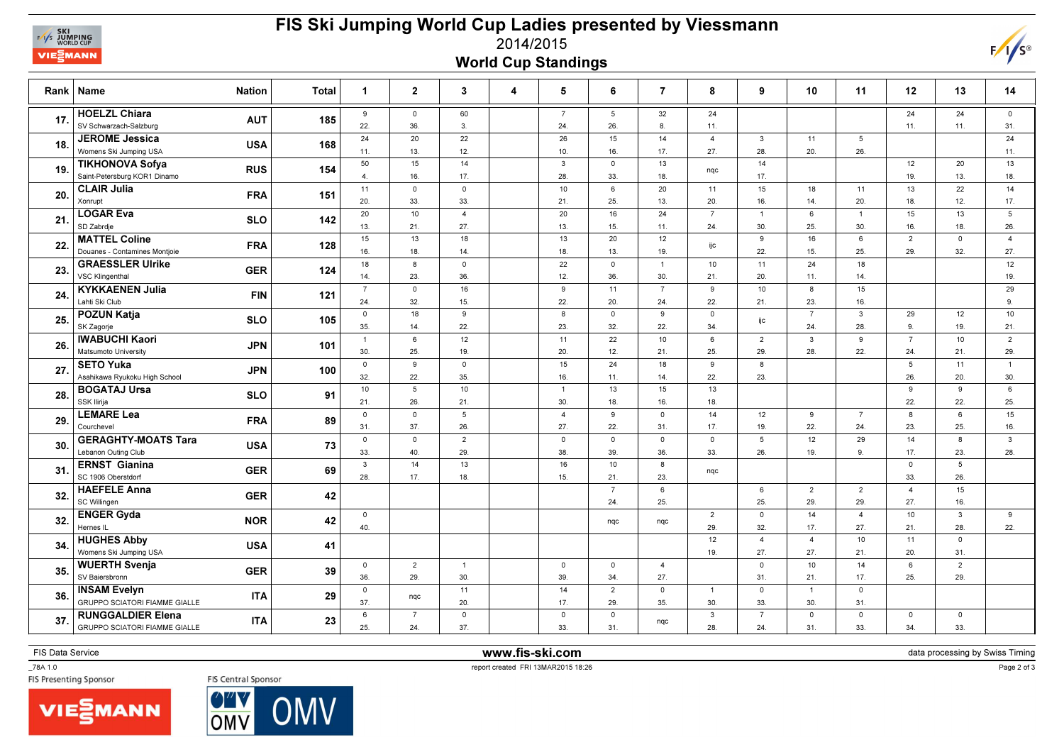

## FIS Ski Jumping World Cup Ladies presented by Viessmann2014/2015World Cup Standings



| Rank | <b>Name</b><br><b>Nation</b>                                                   | <b>Total</b> | $\mathbf{1}$          | $\overline{2}$        | 3                      | 4 | 5                     | 6                      | $\overline{7}$          | 8                     | 9                      | 10                    | 11                    | 12                     | 13                    | 14                    |
|------|--------------------------------------------------------------------------------|--------------|-----------------------|-----------------------|------------------------|---|-----------------------|------------------------|-------------------------|-----------------------|------------------------|-----------------------|-----------------------|------------------------|-----------------------|-----------------------|
| 17.  | <b>HOELZL Chiara</b><br><b>AUT</b><br>SV Schwarzach-Salzburg                   | 185          | 9<br>22.              | $\mathsf 0$<br>36.    | 60<br>3.               |   | $\overline{7}$<br>24. | $5\overline{5}$<br>26. | 32<br>8.                | 24<br>11.             |                        |                       |                       | 24<br>11.              | 24<br>11.             | $\mathsf{o}$<br>31.   |
| 18.  | <b>JEROME Jessica</b><br><b>USA</b><br>Womens Ski Jumping USA                  | 168          | 24<br>11.             | 20<br>13.             | 22<br>12.              |   | 26<br>10.             | 15<br>16.              | 14<br>17.               | $\overline{4}$<br>27. | $\mathbf{3}$<br>28.    | 11<br>20.             | 5<br>26.              |                        |                       | 24<br>11.             |
| 19.  | <b>TIKHONOVA Sofya</b><br><b>RUS</b><br>Saint-Petersburg KOR1 Dinamo           | 154          | 50<br>$\overline{4}$  | 15<br>16.             | 14<br>17.              |   | 3<br>28.              | $\circ$<br>33.         | 13<br>18.               | nqc                   | 14<br>17.              |                       |                       | 12<br>19.              | 20<br>13.             | 13<br>18.             |
| 20.  | <b>CLAIR Julia</b><br><b>FRA</b><br>Xonrupt                                    | 151          | 11<br>20.             | $\mathsf 0$<br>33.    | $\mathsf 0$<br>33.     |   | 10<br>21.             | $6\overline{6}$<br>25. | 20<br>13.               | 11<br>20.             | 15<br>16.              | 18<br>14.             | 11<br>20.             | 13<br>18.              | 22<br>12.             | 14<br>17.             |
| 21.  | <b>LOGAR Eva</b><br><b>SLO</b><br>SD Zabrdje                                   | 142          | 20<br>13.             | 10<br>21              | $\overline{4}$<br>27.  |   | 20<br>13.             | 16<br>15.              | 24<br>11.               | $\overline{7}$<br>24. | $\overline{1}$<br>30.  | 6<br>25.              | $\overline{1}$<br>30. | 15<br>16.              | 13<br>18.             | 5<br>26.              |
| 22.  | <b>MATTEL Coline</b><br><b>FRA</b><br>Douanes - Contamines Montjoie            | 128          | 15<br>16.             | 13<br>18.             | 18<br>14.              |   | 13<br>18.             | 20<br>13.              | 12<br>19.               | ijc                   | 9<br>22.               | 16<br>15.             | 6<br>25.              | $\overline{2}$<br>29.  | $\circ$<br>32.        | $\overline{4}$<br>27. |
| 23.  | <b>GRAESSLER Ulrike</b><br><b>GER</b><br>VSC Klingenthal                       | 124          | 18<br>14.             | 8<br>23.              | $\mathsf 0$<br>36.     |   | 22<br>12.             | $\mathbf 0$<br>36.     | $\overline{1}$<br>30.   | 10<br>21.             | 11<br>20.              | 24<br>11.             | 18<br>14.             |                        |                       | 12<br>19.             |
| 24.  | <b>KYKKAENEN Julia</b><br><b>FIN</b><br>Lahti Ski Club                         | 121          | $\overline{7}$<br>24. | $\circ$<br>32.        | 16<br>15.              |   | 9<br>22.              | 11<br>20.              | $\overline{7}$<br>24.   | 9<br>22.              | 10<br>21.              | 8<br>23.              | 15<br>16.             |                        |                       | 29<br>9.              |
| 25.  | <b>POZUN Katja</b><br><b>SLO</b><br>SK Zagorje                                 | 105          | $\mathsf 0$           | 18                    | 9                      |   | 8                     | $\mathbf 0$            | 9                       | $\mathsf 0$<br>34.    | ijc                    | $\overline{7}$        | $\mathbf{3}$          | 29<br>9.               | 12                    | 10                    |
| 26.  | <b>IWABUCHI Kaori</b><br><b>JPN</b><br>Matsumoto University                    | 101          | 35.<br>$\overline{1}$ | 14.<br>6              | 22.<br>12              |   | 23.<br>11             | 32.<br>22              | 22.<br>10 <sup>10</sup> | 6                     | $\overline{2}$         | 24.<br>$\mathbf{3}$   | 28.<br>9              | $\overline{7}$         | 19.<br>10             | 21.<br>$\overline{2}$ |
| 27.  | <b>SETO Yuka</b><br><b>JPN</b>                                                 | 100          | 30.<br>$\mathbf 0$    | 25.<br>9              | 19.<br>$\mathsf 0$     |   | 20.<br>15             | 12.<br>24              | 21.<br>18               | 25.<br>9              | 29.<br>8               | 28.                   | 22.                   | 24.<br>5               | 21.<br>11             | 29.<br>$\overline{1}$ |
| 28.  | Asahikawa Ryukoku High School<br><b>BOGATAJ Ursa</b><br><b>SLO</b>             | 91           | 32.<br>10             | 22.<br>5              | 35.<br>10              |   | 16.<br>$\overline{1}$ | 11.<br>13              | 14.<br>15               | 22.<br>13             | 23.                    |                       |                       | 26.<br>9               | 20.<br>9              | 30.<br>6              |
| 29.  | SSK Ilirija<br><b>LEMARE Lea</b><br><b>FRA</b>                                 | 89           | 21.<br>$\mathsf{O}$   | 26.<br>$\mathsf 0$    | 21.<br>$5\phantom{.0}$ |   | 30.<br>$\overline{4}$ | 18.<br>9               | 16.<br>$\mathsf 0$      | 18.<br>14             | 12                     | 9                     | $\overline{7}$        | 22.<br>8               | 22.<br>6              | 25.<br>15             |
|      | Courchevel<br><b>GERAGHTY-MOATS Tara</b>                                       |              | 31.<br>$\mathsf{O}$   | 37.<br>$\circ$        | 26.<br>$\overline{2}$  |   | 27.<br>$\mathbf 0$    | 22.<br>$\mathsf{o}$    | 31.<br>$\mathbf 0$      | 17.<br>$\mathbf 0$    | 19.<br>$5\overline{5}$ | 22.<br>12             | 24.<br>29             | 23.<br>14              | 25.<br>8              | 16.<br>$\mathbf{3}$   |
| 30.  | <b>USA</b><br>Lebanon Outing Club<br><b>ERNST Gianina</b>                      | 73           | 33.<br>$\mathbf{3}$   | 40.<br>14             | 29.<br>13              |   | 38.<br>16             | 39.<br>10              | 36.<br>8                | 33.                   | 26.                    | 19.                   | 9                     | 17.<br>$\circ$         | 23.<br>5              | 28.                   |
| 31.  | <b>GER</b><br>SC 1906 Oberstdorf<br><b>HAEFELE Anna</b>                        | 69           | 28.                   | 17.                   | 18.                    |   | 15.                   | 21.<br>$\overline{7}$  | 23.<br>6                | nqc                   | 6                      | $\overline{2}$        | 2                     | 33.<br>$\overline{4}$  | 26.<br>15             |                       |
| 32.  | <b>GER</b><br>SC Willingen<br><b>ENGER Gyda</b>                                | 42           | $\mathsf 0$           |                       |                        |   |                       | 24.                    | 25.                     | $\overline{2}$        | 25.<br>$\mathsf 0$     | 29.<br>14             | 29.<br>$\overline{4}$ | 27.<br>10 <sub>1</sub> | 16.<br>$\mathbf{3}$   | 9                     |
| 32.  | <b>NOR</b><br>Hernes IL                                                        | 42           | 40.                   |                       |                        |   |                       | nqc                    | nqc                     | 29.                   | 32.                    | 17.                   | 27.                   | 21.                    | 28.                   | 22.                   |
| 34.  | <b>HUGHES Abby</b><br><b>USA</b><br>Womens Ski Jumping USA                     | 41           |                       |                       |                        |   |                       |                        |                         | 12<br>19.             | $\overline{4}$<br>27.  | $\overline{4}$<br>27. | 10<br>21.             | 11<br>20.              | $\mathsf{o}$<br>31.   |                       |
| 35.  | <b>WUERTH Svenja</b><br><b>GER</b><br>SV Baiersbronn                           | 39           | $\mathsf 0$<br>36.    | $\overline{2}$<br>29. | $\overline{1}$<br>30.  |   | $\mathsf 0$<br>39.    | $\mathbf 0$<br>34.     | $\overline{4}$<br>27.   |                       | $\mathsf 0$<br>31.     | 10<br>21.             | 14<br>17.             | 6<br>25.               | $\overline{2}$<br>29. |                       |
| 36.  | <b>INSAM Evelyn</b><br><b>ITA</b><br><b>GRUPPO SCIATORI FIAMME GIALLE</b>      | 29           | $\mathsf{O}$<br>37.   | nqc                   | 11<br>20.              |   | 14<br>17.             | $\overline{2}$<br>29.  | $\mathbf 0$<br>35.      | $\overline{1}$<br>30. | $\mathbf 0$<br>33.     | $\overline{1}$<br>30. | $\circ$<br>31.        |                        |                       |                       |
| 37.  | <b>RUNGGALDIER Elena</b><br><b>ITA</b><br><b>GRUPPO SCIATORI FIAMME GIALLE</b> | 23           | 6<br>25.              | $\overline{7}$<br>24. | $\mathsf 0$<br>37.     |   | $\mathsf 0$<br>33.    | $\mathbf 0$<br>31.     | nqc                     | $\mathbf{3}$<br>28.   | $\overline{7}$<br>24.  | $\circ$<br>31.        | $\circ$<br>33.        | $\mathsf 0$<br>34.     | $\mathbf 0$<br>33.    |                       |

FIS Data Service **www.fis-ski.com** 

data processing by Swiss Timing

\_78A 1.0





TRA 1.0<br>FIS Central Sponsor FISC Central Sponsor<br>FIS Presenting Sponsor FISC Central Sponsor

Page 2 of 3